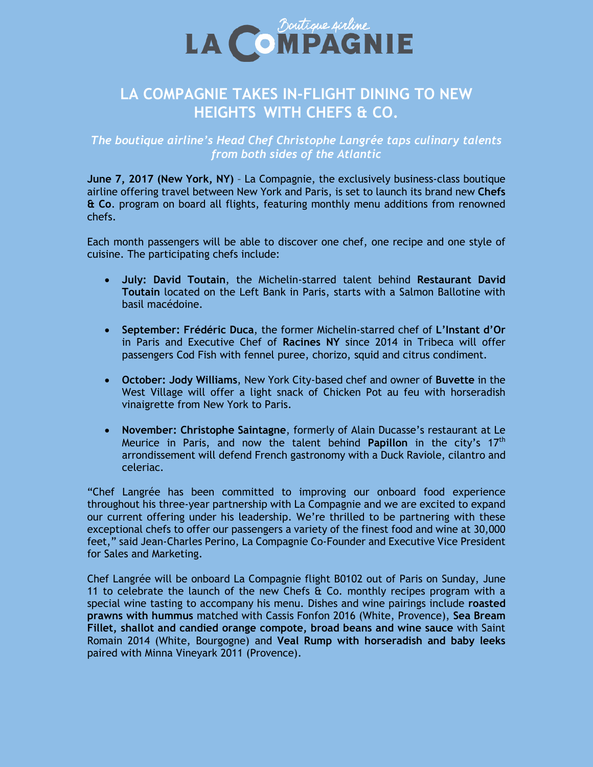

# **LA COMPAGNIE TAKES IN-FLIGHT DINING TO NEW HEIGHTS WITH CHEFS & CO.**

## *The boutique airline's Head Chef Christophe Langrée taps culinary talents from both sides of the Atlantic*

**June 7, 2017 (New York, NY)** – La Compagnie, the exclusively business-class boutique airline offering travel between New York and Paris, is set to launch its brand new **Chefs & Co**. program on board all flights, featuring monthly menu additions from renowned chefs.

Each month passengers will be able to discover one chef, one recipe and one style of cuisine. The participating chefs include:

- **July: David Toutain**, the Michelin-starred talent behind **Restaurant David Toutain** located on the Left Bank in Paris, starts with a Salmon Ballotine with basil macédoine.
- **September: Frédéric Duca**, the former Michelin-starred chef of **L'Instant d'Or** in Paris and Executive Chef of **Racines NY** since 2014 in Tribeca will offer passengers Cod Fish with fennel puree, chorizo, squid and citrus condiment.
- **October: Jody Williams**, New York City-based chef and owner of **Buvette** in the West Village will offer a light snack of Chicken Pot au feu with horseradish vinaigrette from New York to Paris.
- **November: Christophe Saintagne**, formerly of Alain Ducasse's restaurant at Le Meurice in Paris, and now the talent behind **Papillon** in the city's 17th arrondissement will defend French gastronomy with a Duck Raviole, cilantro and celeriac.

"Chef Langrée has been committed to improving our onboard food experience throughout his three-year partnership with La Compagnie and we are excited to expand our current offering under his leadership. We're thrilled to be partnering with these exceptional chefs to offer our passengers a variety of the finest food and wine at 30,000 feet," said Jean-Charles Perino, La Compagnie Co-Founder and Executive Vice President for Sales and Marketing.

Chef Langrée will be onboard La Compagnie flight B0102 out of Paris on Sunday, June 11 to celebrate the launch of the new Chefs  $\alpha$  Co. monthly recipes program with a special wine tasting to accompany his menu. Dishes and wine pairings include **roasted prawns with hummus** matched with Cassis Fonfon 2016 (White, Provence), **Sea Bream Fillet, shallot and candied orange compote, broad beans and wine sauce** with Saint Romain 2014 (White, Bourgogne) and **Veal Rump with horseradish and baby leeks** paired with Minna Vineyark 2011 (Provence).